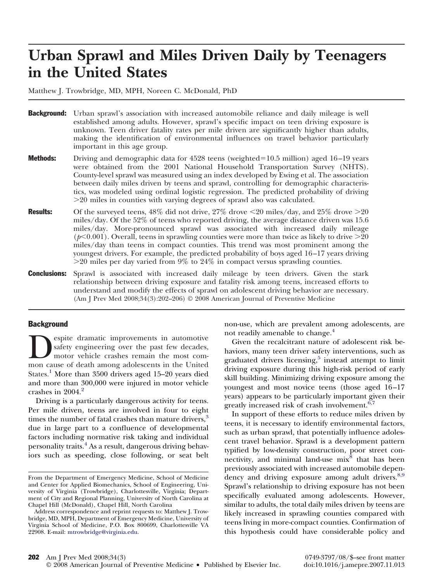# **Urban Sprawl and Miles Driven Daily by Teenagers in the United States**

Matthew J. Trowbridge, MD, MPH, Noreen C. McDonald, PhD

- **Background:** Urban sprawl's association with increased automobile reliance and daily mileage is well established among adults. However, sprawl's specific impact on teen driving exposure is unknown. Teen driver fatality rates per mile driven are significantly higher than adults, making the identification of environmental influences on travel behavior particularly important in this age group.
- **Methods:** Driving and demographic data for  $4528$  teens (weighted=10.5 million) aged 16–19 years were obtained from the 2001 National Household Transportation Survey (NHTS). County-level sprawl was measured using an index developed by Ewing et al. The association between daily miles driven by teens and sprawl, controlling for demographic characteristics, was modeled using ordinal logistic regression. The predicted probability of driving -20 miles in counties with varying degrees of sprawl also was calculated.
- **Results:** Of the surveyed teens,  $48\%$  did not drive,  $27\%$  drove  $\leq$  20 miles/day, and  $25\%$  drove  $\geq$  20 miles/day. Of the 52% of teens who reported driving, the average distance driven was 15.6 miles/day. More-pronounced sprawl was associated with increased daily mileage ( $p<0.001$ ). Overall, teens in sprawling counties were more than twice as likely to drive  $>$ 20 miles/day than teens in compact counties. This trend was most prominent among the youngest drivers. For example, the predicted probability of boys aged 16–17 years driving -20 miles per day varied from 9% to 24% in compact versus sprawling counties.
- **Conclusions:** Sprawl is associated with increased daily mileage by teen drivers. Given the stark relationship between driving exposure and fatality risk among teens, increased efforts to understand and modify the effects of sprawl on adolescent driving behavior are necessary. (Am J Prev Med 2008;34(3):202–206) © 2008 American Journal of Preventive Medicine

### **Background**

espite dramatic improvements in automotive safety engineering over the past few decades, motor vehicle crashes remain the most common cause of death among adolescents in the United safety engineering over the past few decades, motor vehicle crashes remain the most com-States.<sup>[1](#page-4-0)</sup> More than 3500 drivers aged 15–20 years died and more than 300,000 were injured in motor vehicle crashes in [2](#page-4-0)004.<sup>2</sup>

Driving is a particularly dangerous activity for teens. Per mile driven, teens are involved in four to eight times the number of fatal crashes than mature drivers, $3$ due in large part to a confluence of developmental factors including normative risk taking and individual personality traits.[4](#page-4-0) As a result, dangerous driving behaviors such as speeding, close following, or seat belt non-use, which are prevalent among adolescents, are not readily amenable to change.<sup>[4](#page-4-0)</sup>

Given the recalcitrant nature of adolescent risk behaviors, many teen driver safety interventions, such as graduated drivers licensing, $5$  instead attempt to limit driving exposure during this high-risk period of early skill building. Minimizing driving exposure among the youngest and most novice teens (those aged 16–17 years) appears to be particularly important given their greatly increased risk of crash involvement. $6,7$ 

In support of these efforts to reduce miles driven by teens, it is necessary to identify environmental factors, such as urban sprawl, that potentially influence adolescent travel behavior. Sprawl is a development pattern typified by low-density construction, poor street con-nectivity, and minimal land-use mix<sup>[8](#page-4-0)</sup> that has been previously associated with increased automobile depen-dency and driving exposure among adult drivers.<sup>[8,9](#page-4-0)</sup> Sprawl's relationship to driving exposure has not been specifically evaluated among adolescents. However, similar to adults, the total daily miles driven by teens are likely increased in sprawling counties compared with teens living in more-compact counties. Confirmation of this hypothesis could have considerable policy and

From the Department of Emergency Medicine, School of Medicine and Center for Applied Biomechanics, School of Engineering, University of Virginia (Trowbridge), Charlottesville, Virginia; Department of City and Regional Planning, University of North Carolina at Chapel Hill (McDonald), Chapel Hill, North Carolina

Address correspondence and reprint requests to: Matthew J. Trowbridge, MD, MPH, Department of Emergency Medicine, University of Virginia School of Medicine, P.O. Box 800699, Charlottesville VA 22908. E-mail: [mtrowbridge@virginia.edu.](mailto:mtrowbridge@virginia.edu)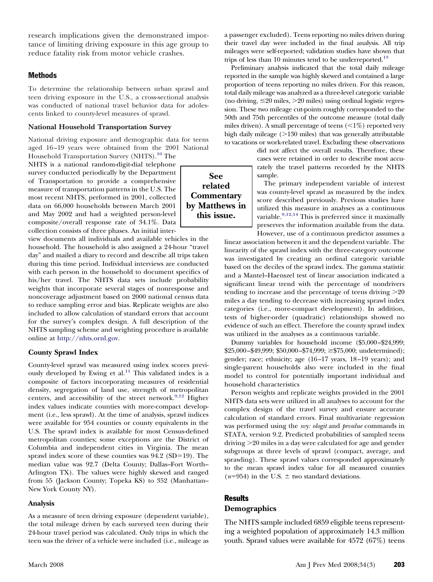research implications given the demonstrated importance of limiting driving exposure in this age group to reduce fatality risk from motor vehicle crashes.

# Methods

To determine the relationship between urban sprawl and teen driving exposure in the U.S., a cross-sectional analysis was conducted of national travel behavior data for adolescents linked to county-level measures of sprawl.

#### **National Household Transportation Survey**

National driving exposure and demographic data for teens aged 16–19 years were obtained from the 2001 National

Household Transportation Survey (NHTS).<sup>10</sup> The NHTS is a national random-digit-dial telephone survey conducted periodically by the Department of Transportation to provide a comprehensive measure of transportation patterns in the U.S. The most recent NHTS, performed in 2001, collected data on 66,000 households between March 2001 and May 2002 and had a weighted person-level composite/overall response rate of 34.1%. Data collection consists of three phases. An initial inter-

view documents all individuals and available vehicles in the household. The household is also assigned a 24-hour "travel day" and mailed a diary to record and describe all trips taken during this time period. Individual interviews are conducted with each person in the household to document specifics of his/her travel. The NHTS data sets include probability weights that incorporate several stages of nonresponse and noncoverage adjustment based on 2000 national census data to reduce sampling error and bias. Replicate weights are also included to allow calculation of standard errors that account for the survey's complex design. A full description of the NHTS sampling scheme and weighting procedure is available online at [http://nhts.ornl.gov.](mailto:http://nhts.ornl.gov)

### **County Sprawl Index**

County-level sprawl was measured using index scores previously developed by Ewing et al.<sup>11</sup> This validated index is a composite of factors incorporating measures of residential density, segregation of land use, strength of metropolitan centers, and accessibility of the street network.<sup>9,12</sup> Higher index values indicate counties with more-compact development (i.e., less sprawl). At the time of analysis, sprawl indices were available for 954 counties or county equivalents in the U.S. The sprawl index is available for most Census-defined metropolitan counties; some exceptions are the District of Columbia and independent cities in Virginia. The mean sprawl index score of these counties was  $94.2$  (SD=19). The median value was 92.7 (Delta County; Dallas–Fort Worth– Arlington TX). The values were highly skewed and ranged from 55 (Jackson County; Topeka KS) to 352 (Manhattan– New York County NY).

### **Analysis**

As a measure of teen driving exposure (dependent variable), the total mileage driven by each surveyed teen during their 24-hour travel period was calculated. Only trips in which the teen was the driver of a vehicle were included (i.e., mileage as a passenger excluded). Teens reporting no miles driven during their travel day were included in the final analysis. All trip mileages were self-reported; validation studies have shown that trips of less than 10 minutes tend to be underreported.<sup>13</sup>

Preliminary analysis indicated that the total daily mileage reported in the sample was highly skewed and contained a large proportion of teens reporting no miles driven. For this reason, total daily mileage was analyzed as a three-level categoric variable (no driving,  $\leq$  20 miles,  $>$  20 miles) using ordinal logistic regression. These two mileage cut-points roughly corresponded to the 50th and 75th percentiles of the outcome measure (total daily miles driven). A small percentage of teens  $\langle \langle 1\% \rangle$  reported very high daily mileage (>130 miles) that was generally attributable to vacations or work-related travel. Excluding these observations

did not affect the overall results. Therefore, these cases were retained in order to describe most accurately the travel patterns recorded by the NHTS sample.

The primary independent variable of interest was county-level sprawl as measured by the index score described previously. Previous studies have utilized this measure in analyses as a continuous variable.<sup>9,12,14</sup> This is preferred since it maximally preserves the information available from the data.

However, use of a continuous predictor assumes a linear association between it and the dependent variable. The linearity of the sprawl index with the three-category outcome was investigated by creating an ordinal categoric variable based on the deciles of the sprawl index. The gamma statistic and a Mantel–Haenszel test of linear association indicated a significant linear trend with the percentage of nondrivers tending to increase and the percentage of teens driving  $>20$ miles a day tending to decrease with increasing sprawl index categories (i.e., more-compact development). In addition, tests of higher-order (quadratic) relationships showed no evidence of such an effect. Therefore the county sprawl index was utilized in the analyses as a continuous variable.

Dummy variables for household income (\$5,000–\$24,999; \$25,000–\$49,999; \$50,000–\$74,999; -\$75,000; undetermined); gender; race; ethnicity; age (16–17 years, 18–19 years); and single-parent households also were included in the final model to control for potentially important individual and household characteristics

Person weights and replicate weights provided in the 2001 NHTS data sets were utilized in all analyses to account for the complex design of the travel survey and ensure accurate calculation of standard errors. Final multivariate regression was performed using the *svy: ologit* and *prvalue* commands in STATA, version 9.2. Predicted probabilities of sampled teens driving -20 miles in a day were calculated for age and gender subgroups at three levels of sprawl (compact, average, and sprawling). These sprawl values corresponded approximately to the mean sprawl index value for all measured counties  $(n=954)$  in the U.S.  $\pm$  two standard deviations.

# **Results**

# **Demographics**

The NHTS sample included 6859 eligible teens representing a weighted population of approximately 14.3 million youth. Sprawl values were available for 4572 (67%) teens

**See related Commentary by Matthews in this issue.**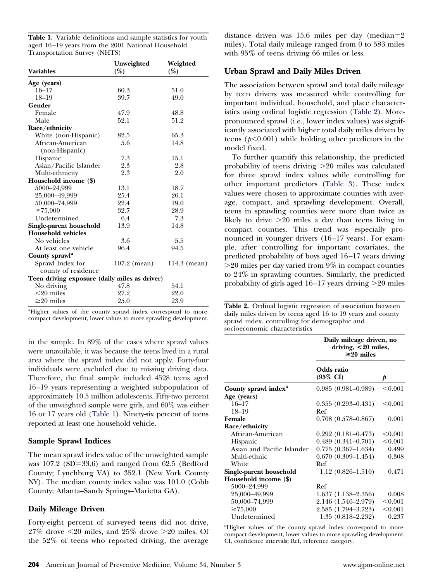**Table 1.** Variable definitions and sample statistics for youth aged 16–19 years from the 2001 National Household Transportation Survey (NHTS)

| <b>Variables</b>                              | Unweighted<br>(%) | Weighted<br>(%) |
|-----------------------------------------------|-------------------|-----------------|
| Age (years)                                   |                   |                 |
| $16 - 17$                                     | 60.3              | 51.0            |
| $18 - 19$                                     | 39.7              | 49.0            |
| Gender                                        |                   |                 |
| Female                                        | 47.9              | 48.8            |
| Male                                          | 52.1              | 51.2            |
| Race/ethnicity                                |                   |                 |
| White (non-Hispanic)                          | 82.5              | 65.3            |
| African-American                              | 5.6               | 14.8            |
| (non-Hispanic)                                |                   |                 |
| Hispanic                                      | 7.3               | 15.1            |
| Asian/Pacific Islander                        | 2.3               | 2.8             |
| Multi-ethnicity                               | 2.3               | 2.0             |
| Household income (\$)                         |                   |                 |
| 5000-24,999                                   | 13.1              | 18.7            |
| 25,000-49,999                                 | 25.4              | 26.1            |
| 50,000-74,999                                 | 22.4              | 19.0            |
| $\geq 75.000$                                 | 32.7              | 28.9            |
| Undetermined                                  | 6.4               | 7.3             |
| Single-parent household                       | 13.9              | 14.8            |
| <b>Household vehicles</b>                     |                   |                 |
| No vehicles                                   | 3.6               | 5.5             |
| At least one vehicle                          | 96.4              | 94.5            |
| County sprawl <sup>a</sup>                    |                   |                 |
| Sprawl Index for                              | $107.2$ (mean)    | 114.3 (mean)    |
| county of residence                           |                   |                 |
| Teen driving exposure (daily miles as driver) |                   |                 |
| No driving                                    | 47.8              | 54.1            |
| $<$ 20 miles                                  | 27.2              | 22.0            |
| $\geq$ 20 miles                               | 25.0              | 23.9            |

<sup>a</sup>Higher values of the county sprawl index correspond to morecompact development, lower values to more sprawling development.

in the sample. In 89% of the cases where sprawl values were unavailable, it was because the teens lived in a rural area where the sprawl index did not apply. Forty-four individuals were excluded due to missing driving data. Therefore, the final sample included 4528 teens aged 16–19 years representing a weighted subpopulation of approximately 10.5 million adolescents. Fifty-two percent of the unweighted sample were girls, and 60% was either 16 or 17 years old (Table 1). Ninety-six percent of teens reported at least one household vehicle.

# **Sample Sprawl Indices**

The mean sprawl index value of the unweighted sample was  $107.2$  (SD=33.6) and ranged from 62.5 (Bedford County; Lynchburg VA) to 352.1 (New York County NY). The median county index value was 101.0 (Cobb County; Atlanta–Sandy Springs–Marietta GA).

# **Daily Mileage Driven**

Forty-eight percent of surveyed teens did not drive,  $27\%$  drove  $\leq$  20 miles, and  $25\%$  drove  $\geq$  20 miles. Of the 52% of teens who reported driving, the average distance driven was 15.6 miles per day (median=2 miles). Total daily mileage ranged from 0 to 583 miles with 95% of teens driving 66 miles or less.

# **Urban Sprawl and Daily Miles Driven**

The association between sprawl and total daily mileage by teen drivers was measured while controlling for important individual, household, and place characteristics using ordinal logistic regression (Table 2). Morepronounced sprawl (i.e., lower index values) was significantly associated with higher total daily miles driven by teens  $(p<0.001)$  while holding other predictors in the model fixed.

To further quantify this relationship, the predicted probability of teens driving >20 miles was calculated for three sprawl index values while controlling for other important predictors [\(Table 3\)](#page-3-0). These index values were chosen to approximate counties with average, compact, and sprawling development. Overall, teens in sprawling counties were more than twice as likely to drive -20 miles a day than teens living in compact counties. This trend was especially pronounced in younger drivers (16–17 years). For example, after controlling for important covariates, the predicted probability of boys aged 16–17 years driving -20 miles per day varied from 9% in compact counties to 24% in sprawling counties. Similarly, the predicted probability of girls aged 16–17 years driving >20 miles

**Table 2.** Ordinal logistic regression of association between daily miles driven by teens aged 16 to 19 years and county sprawl index, controlling for demographic and socioeconomic characteristics

|                                  | Daily mileage driven, no<br>driving, <20 miles,<br>$\geq$ 20 miles |         |  |  |
|----------------------------------|--------------------------------------------------------------------|---------|--|--|
|                                  | Odds ratio<br>$(95\% \text{ CI})$                                  | p       |  |  |
| County sprawl index <sup>a</sup> | $0.985(0.981-0.989)$                                               | < 0.001 |  |  |
| Age (years)                      |                                                                    |         |  |  |
| $16 - 17$                        | $0.355(0.293 - 0.431)$                                             | < 0.001 |  |  |
| $18 - 19$                        | Ref                                                                |         |  |  |
| Female                           | $0.708$ $(0.578 - 0.867)$                                          | 0.001   |  |  |
| Race/ethnicity                   |                                                                    |         |  |  |
| African-American                 | $0.292(0.181 - 0.473)$                                             | < 0.001 |  |  |
| <b>Hispanic</b>                  | $0.489(0.341 - 0.701)$                                             | < 0.001 |  |  |
| Asian and Pacific Islander       | $0.775(0.367-1.634)$                                               | 0.499   |  |  |
| Multi-ethnic                     | $0.670(0.309 - 1.454)$                                             | 0.308   |  |  |
| White                            | Ref                                                                |         |  |  |
| Single-parent household          | $1.12(0.826 - 1.510)$                                              | 0.471   |  |  |
| Household income (\$)            |                                                                    |         |  |  |
| 5000-24,999                      | Ref                                                                |         |  |  |
| 25,000-49,999                    | $1.637(1.138 - 2.356)$                                             | 0.008   |  |  |
| 50,000-74,999                    | 2.146 (1.546–2.979)                                                | < 0.001 |  |  |
| $\geq 75,000$                    | 2.585 (1.794–3.723)                                                | < 0.001 |  |  |
| Undetermined                     | $1.35(0.818 - 2.232)$                                              | 0.237   |  |  |

<sup>a</sup>Higher values of the county sprawl index correspond to morecompact development, lower values to more sprawling development. CI, confidence intervals; Ref, reference category.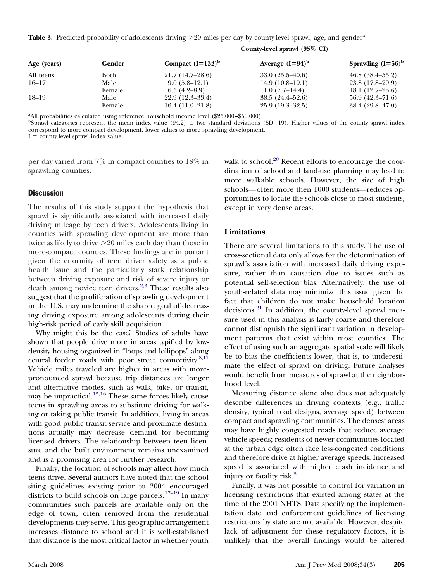<span id="page-3-0"></span>

|  | Table 3. Predicted probability of adolescents driving $>20$ miles per day by county-level sprawl, age, and gender <sup>a</sup> |  |  |  |  |  |  |
|--|--------------------------------------------------------------------------------------------------------------------------------|--|--|--|--|--|--|
|  |                                                                                                                                |  |  |  |  |  |  |

|             |        | County-level sprawl (95% CI) |                     |                      |  |  |  |
|-------------|--------|------------------------------|---------------------|----------------------|--|--|--|
| Age (years) | Gender | Compact $(I=132)^{b}$        | Average $(I=94)^b$  | Sprawling $(I=56)^b$ |  |  |  |
| All teens   | Both   | $21.7(14.7-28.6)$            | $33.0(25.5-40.6)$   | 46.8(38.4–55.2)      |  |  |  |
| $16 - 17$   | Male   | $9.0(5.8-12.1)$              | $14.9(10.8-19.1)$   | 23.8 (17.8–29.9)     |  |  |  |
|             | Female | $6.5(4.2-8.9)$               | $11.0(7.7-14.4)$    | $18.1(12.7-23.6)$    |  |  |  |
| 18–19       | Male   | $22.9(12.3-33.4)$            | $38.5(24.4 - 52.6)$ | $56.9(42.3-71.6)$    |  |  |  |
|             | Female | $16.4(11.0-21.8)$            | $25.9(19.3-32.5)$   | $38.4(29.8-47.0)$    |  |  |  |

<sup>a</sup>All probabilities calculated using reference household income level (\$25,000-\$50,000).

 $b$ Sprawl categories represent the mean index value (94.2)  $\pm$  two standard deviations (SD=19). Higher values of the county sprawl index correspond to more-compact development, lower values to more sprawling development.

 $I = \text{countv-level}$  sprawl index value.

per day varied from 7% in compact counties to 18% in sprawling counties.

#### **Discussion**

The results of this study support the hypothesis that sprawl is significantly associated with increased daily driving mileage by teen drivers. Adolescents living in counties with sprawling development are more than twice as likely to drive -20 miles each day than those in more-compact counties. These findings are important given the enormity of teen driver safety as a public health issue and the particularly stark relationship between driving exposure and risk of severe injury or death among novice teen drivers.<sup>[2,3](#page-4-0)</sup> These results also suggest that the proliferation of sprawling development in the U.S. may undermine the shared goal of decreasing driving exposure among adolescents during their high-risk period of early skill acquisition.

Why might this be the case? Studies of adults have shown that people drive more in areas typified by lowdensity housing organized in "loops and lollipops" along central feeder roads with poor street connectivity.<sup>8,11</sup> Vehicle miles traveled are higher in areas with morepronounced sprawl because trip distances are longer and alternative modes, such as walk, bike, or transit, may be impractical.[15,16](#page-4-0) These same forces likely cause teens in sprawling areas to substitute driving for walking or taking public transit. In addition, living in areas with good public transit service and proximate destinations actually may decrease demand for becoming licensed drivers. The relationship between teen licensure and the built environment remains unexamined and is a promising area for further research.

Finally, the location of schools may affect how much teens drive. Several authors have noted that the school siting guidelines existing prior to 2004 encouraged districts to build schools on large parcels.<sup>[17–19](#page-4-0)</sup> In many communities such parcels are available only on the edge of town, often removed from the residential developments they serve. This geographic arrangement increases distance to school and it is well-established that distance is the most critical factor in whether youth walk to school.<sup>[20](#page-4-0)</sup> Recent efforts to encourage the coordination of school and land-use planning may lead to more walkable schools. However, the size of high schools—often more then 1000 students—reduces opportunities to locate the schools close to most students, except in very dense areas.

## **Limitations**

There are several limitations to this study. The use of cross-sectional data only allows for the determination of sprawl's association with increased daily driving exposure, rather than causation due to issues such as potential self-selection bias. Alternatively, the use of youth-related data may minimize this issue given the fact that children do not make household location decisions. $21$  In addition, the county-level sprawl measure used in this analysis is fairly coarse and therefore cannot distinguish the significant variation in development patterns that exist within most counties. The effect of using such an aggregate spatial scale will likely be to bias the coefficients lower, that is, to underestimate the effect of sprawl on driving. Future analyses would benefit from measures of sprawl at the neighborhood level.

Measuring distance alone also does not adequately describe differences in driving contexts (e.g., traffic density, typical road designs, average speed) between compact and sprawling communities. The densest areas may have highly congested roads that reduce average vehicle speeds; residents of newer communities located at the urban edge often face less-congested conditions and therefore drive at higher average speeds. Increased speed is associated with higher crash incidence and injury or fatality risk.<sup>[8](#page-4-0)</sup>

Finally, it was not possible to control for variation in licensing restrictions that existed among states at the time of the 2001 NHTS. Data specifying the implementation date and enforcement guidelines of licensing restrictions by state are not available. However, despite lack of adjustment for these regulatory factors, it is unlikely that the overall findings would be altered